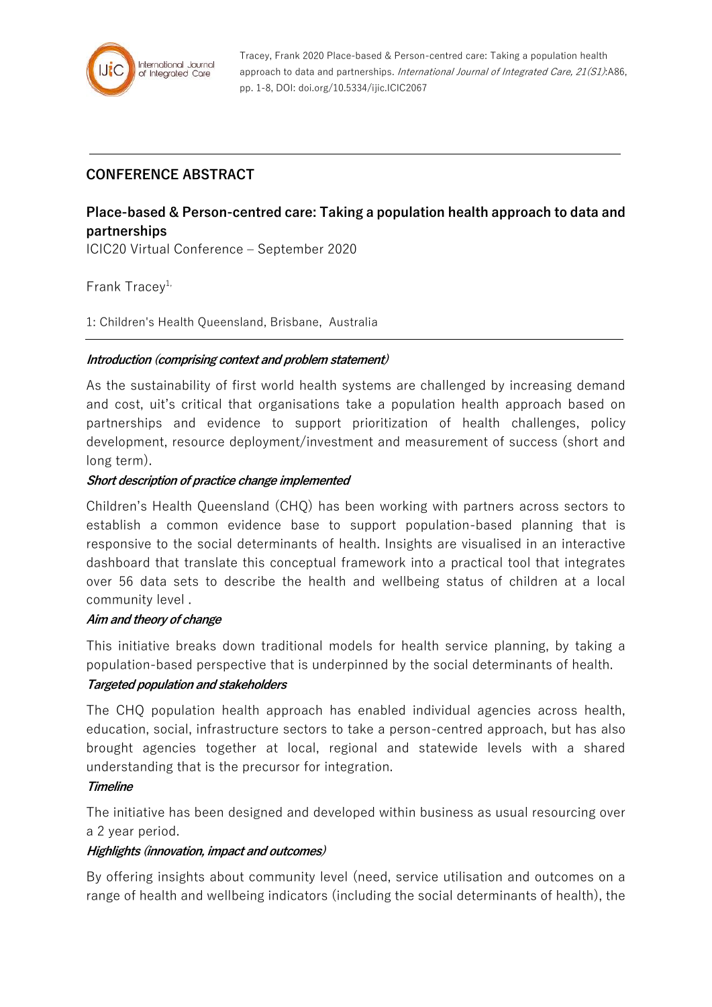

Tracey, Frank 2020 Place-based & Person-centred care: Taking a population health approach to data and partnerships. International Journal of Integrated Care, 21(S1):A86, pp. 1-8, DOI: doi.org/10.5334/ijic.ICIC2067

## **CONFERENCE ABSTRACT**

# **Place-based & Person-centred care: Taking a population health approach to data and partnerships**

ICIC20 Virtual Conference – September 2020

## Frank Tracev<sup>1,</sup>

1: Children's Health Queensland, Brisbane, Australia

#### **Introduction (comprising context and problem statement)**

As the sustainability of first world health systems are challenged by increasing demand and cost, uit's critical that organisations take a population health approach based on partnerships and evidence to support prioritization of health challenges, policy development, resource deployment/investment and measurement of success (short and long term).

#### **Short description of practice change implemented**

Children's Health Queensland (CHQ) has been working with partners across sectors to establish a common evidence base to support population-based planning that is responsive to the social determinants of health. Insights are visualised in an interactive dashboard that translate this conceptual framework into a practical tool that integrates over 56 data sets to describe the health and wellbeing status of children at a local community level .

#### **Aim and theory of change**

This initiative breaks down traditional models for health service planning, by taking a population-based perspective that is underpinned by the social determinants of health.

#### **Targeted population and stakeholders**

The CHQ population health approach has enabled individual agencies across health, education, social, infrastructure sectors to take a person-centred approach, but has also brought agencies together at local, regional and statewide levels with a shared understanding that is the precursor for integration.

#### **Timeline**

The initiative has been designed and developed within business as usual resourcing over a 2 year period.

#### **Highlights (innovation, impact and outcomes)**

By offering insights about community level (need, service utilisation and outcomes on a range of health and wellbeing indicators (including the social determinants of health), the